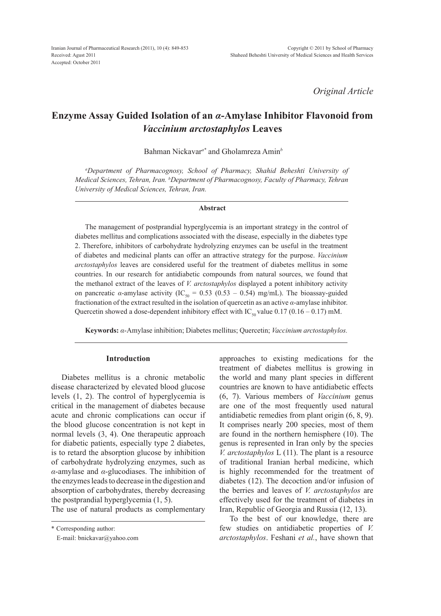*Original Article*

# **Enzyme Assay Guided Isolation of an** *α***-Amylase Inhibitor Flavonoid from**  *Vaccinium arctostaphylos* **Leaves**

Bahman Nickavar*a\** and Gholamreza Amin*<sup>b</sup>*

*a Department of Pharmacognosy, School of Pharmacy, Shahid Beheshti University of Medical Sciences, Tehran, Iran. b Department of Pharmacognosy, Faculty of Pharmacy, Tehran University of Medical Sciences, Tehran, Iran.*

### **Abstract**

The management of postprandial hyperglycemia is an important strategy in the control of diabetes mellitus and complications associated with the disease, especially in the diabetes type 2. Therefore, inhibitors of carbohydrate hydrolyzing enzymes can be useful in the treatment of diabetes and medicinal plants can offer an attractive strategy for the purpose. *Vaccinium arctostaphylos* leaves are considered useful for the treatment of diabetes mellitus in some countries. In our research for antidiabetic compounds from natural sources, we found that the methanol extract of the leaves of *V. arctostaphylos* displayed a potent inhibitory activity on pancreatic *α*-amylase activity (IC<sub>50</sub> = 0.53 (0.53 – 0.54) mg/mL). The bioassay-guided fractionation of the extract resulted in the isolation of quercetin as an active *α*-amylase inhibitor. Quercetin showed a dose-dependent inhibitory effect with IC<sub>50</sub> value 0.17 (0.16 – 0.17) mM.

**Keywords:** *α*-Amylase inhibition; Diabetes mellitus; Quercetin; *Vaccinium arctostaphylos.*

### **Introduction**

Diabetes mellitus is a chronic metabolic disease characterized by elevated blood glucose levels (1, 2). The control of hyperglycemia is critical in the management of diabetes because acute and chronic complications can occur if the blood glucose concentration is not kept in normal levels (3, 4). One therapeutic approach for diabetic patients, especially type 2 diabetes, is to retard the absorption glucose by inhibition of carbohydrate hydrolyzing enzymes, such as *α*-amylase and *α*-glucodiases. The inhibition of the enzymes leads to decrease in the digestion and absorption of carbohydrates, thereby decreasing the postprandial hyperglycemia (1, 5).

The use of natural products as complementary

\* Corresponding author:

E-mail: bnickavar@yahoo.com

approaches to existing medications for the treatment of diabetes mellitus is growing in the world and many plant species in different countries are known to have antidiabetic effects (6, 7). Various members of *Vaccinium* genus are one of the most frequently used natural antidiabetic remedies from plant origin (6, 8, 9). It comprises nearly 200 species, most of them are found in the northern hemisphere (10). The genus is represented in Iran only by the species *V. arctostaphylos* L (11). The plant is a resource of traditional Iranian herbal medicine, which is highly recommended for the treatment of diabetes (12). The decoction and/or infusion of the berries and leaves of *V. arctostaphylos* are effectively used for the treatment of diabetes in Iran, Republic of Georgia and Russia (12, 13).

To the best of our knowledge, there are few studies on antidiabetic properties of *V. arctostaphylos*. Feshani *et al.*, have shown that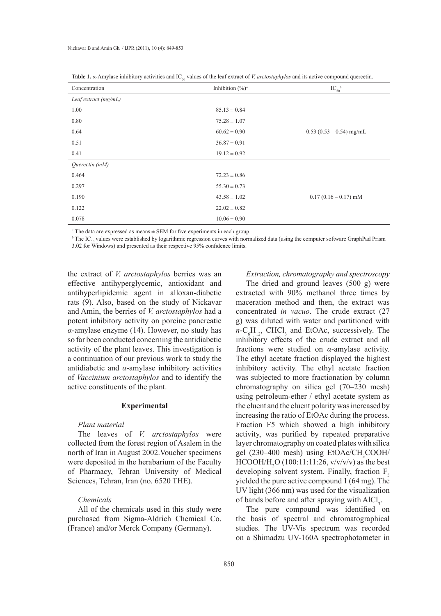| Concentration          | $_{50}$<br>$\sim$<br>Inhibition $(\frac{6}{9})^a$ | $\mathbf{r}$<br>$IC_{50}^{\ b}$ |
|------------------------|---------------------------------------------------|---------------------------------|
|                        |                                                   |                                 |
| Leaf extract $(mg/mL)$ |                                                   |                                 |
| 1.00                   | $85.13 \pm 0.84$                                  |                                 |
| 0.80                   | $75.28 \pm 1.07$                                  |                                 |
| 0.64                   | $60.62 \pm 0.90$                                  | $0.53(0.53-0.54)$ mg/mL         |
| 0.51                   | $36.87 \pm 0.91$                                  |                                 |
| 0.41                   | $19.12 \pm 0.92$                                  |                                 |
| Quercetin (mM)         |                                                   |                                 |
| 0.464                  | $72.23 \pm 0.86$                                  |                                 |
| 0.297                  | $55.30 \pm 0.73$                                  |                                 |
| 0.190                  | $43.58 \pm 1.02$                                  | $0.17(0.16-0.17)$ mM            |
| 0.122                  | $22.02 \pm 0.82$                                  |                                 |
| 0.078                  | $10.06 \pm 0.90$                                  |                                 |

**Table 1.** *α*-Amylase inhibitory activities and IC values of the leaf extract of *V arctostaphylos* and its active compound quercetin.

*a* The data are expressed as means ± SEM for five experiments in each group.

*b* The IC<sub>50</sub> values were established by logarithmic regression curves with normalized data (using the computer software GraphPad Prism 3.02 for Windows) and presented as their respective 95% confidence limits.

the extract of *V. arctostaphylos* berries was an effective antihyperglycemic, antioxidant and antihyperlipidemic agent in alloxan-diabetic rats (9). Also, based on the study of Nickavar and Amin, the berries of *V. arctostaphylos* had a potent inhibitory activity on porcine pancreatic *α*-amylase enzyme (14). However, no study has so far been conducted concerning the antidiabetic activity of the plant leaves. This investigation is a continuation of our previous work to study the antidiabetic and *α*-amylase inhibitory activities of *Vaccinium arctostaphylos* and to identify the active constituents of the plant.

### **Experimental**

### *Plant material*

The leaves of *V. arctostaphylos* were collected from the forest region of Asalem in the north of Iran in August 2002.Voucher specimens were deposited in the herabarium of the Faculty of Pharmacy, Tehran University of Medical Sciences, Tehran, Iran (no. 6520 THE).

## *Chemicals*

All of the chemicals used in this study were purchased from Sigma-Aldrich Chemical Co. (France) and/or Merck Company (Germany).

### *Extraction, chromatography and spectroscopy*

The dried and ground leaves (500 g) were extracted with 90% methanol three times by maceration method and then, the extract was concentrated *in vacuo*. The crude extract (27 g) was diluted with water and partitioned with  $n\text{-}C_6\text{H}_{12}$ , CHCl<sub>3</sub> and EtOAc, successively. The inhibitory effects of the crude extract and all fractions were studied on *α*-amylase activity. The ethyl acetate fraction displayed the highest inhibitory activity. The ethyl acetate fraction was subjected to more fractionation by column chromatography on silica gel (70–230 mesh) using petroleum-ether / ethyl acetate system as the eluent and the eluent polarity was increased by increasing the ratio of EtOAc during the process. Fraction F5 which showed a high inhibitory activity, was purified by repeated preparative layer chromatography on coated plates with silica gel (230–400 mesh) using  $EtOAc/CH_3COOH/$  $HCOOH/H_2O (100:11:11:26, v/v/v/v)$  as the best developing solvent system. Finally, fraction  $F<sub>s</sub>$ yielded the pure active compound 1 (64 mg). The UV light (366 nm) was used for the visualization of bands before and after spraying with  $AICI_3$ .

The pure compound was identified on the basis of spectral and chromatographical studies. The UV-Vis spectrum was recorded on a Shimadzu UV-160A spectrophotometer in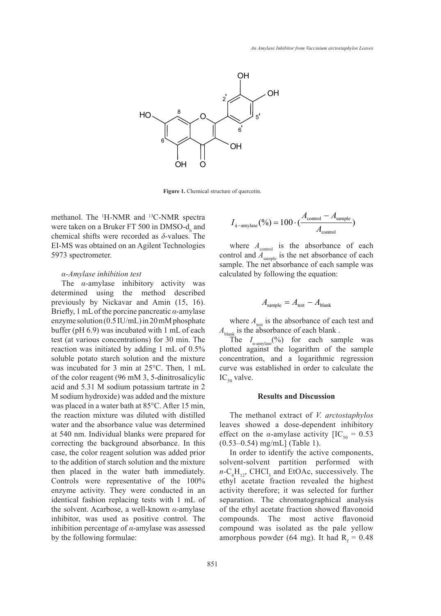

Figure 1. Chemical structure of quercetin.

methanol. The <sup>1</sup>H-NMR and <sup>13</sup>C-NMR spectra were taken on a Bruker FT 500 in DMSO- $d_6$  and chemical shifts were recorded as *δ*-values. The EI-MS was obtained on an Agilent Technologies 5973 spectrometer.

### *α-Amylase inhibition test*

The *α*-amylase inhibitory activity was determined using the method described previously by Nickavar and Amin (15, 16). Briefly, 1 mL of the porcine pancreatic *α*-amylase enzyme solution (0.5 IU/mL) in 20 mM phosphate buffer (pH 6.9) was incubated with 1 mL of each test (at various concentrations) for 30 min. The reaction was initiated by adding 1 mL of 0.5% soluble potato starch solution and the mixture was incubated for 3 min at 25°C. Then, 1 mL of the color reagent (96 mM 3, 5-dinitrosalicylic acid and 5.31 M sodium potassium tartrate in 2 M sodium hydroxide) was added and the mixture was placed in a water bath at 85°C. After 15 min, the reaction mixture was diluted with distilled water and the absorbance value was determined at 540 nm. Individual blanks were prepared for correcting the background absorbance. In this case, the color reagent solution was added prior to the addition of starch solution and the mixture then placed in the water bath immediately. Controls were representative of the 100% enzyme activity. They were conducted in an identical fashion replacing tests with 1 mL of the solvent. Acarbose, a well-known *α*-amylase inhibitor, was used as positive control. The inhibition percentage of *α*-amylase was assessed by the following formulae:

$$
I_{\text{a-amylase}}(\%) = 100 \cdot (\frac{A_{\text{control}} - A_{\text{sample}}}{A_{\text{control}}})
$$

where  $A_{\text{control}}$  is the absorbance of each control and  $A_{\text{sample}}$  is the net absorbance of each sample. The net absorbance of each sample was calculated by following the equation:

$$
A_{\text{sample}} = A_{\text{test}} - A_{\text{blank}}
$$

where  $A_{\text{test}}$  is the absorbance of each test and  $A_{\text{blank}}$  is the absorbance of each blank.

The  $I_{\alpha\text{-amylase}}(\%)$  for each sample was plotted against the logarithm of the sample concentration, and a logarithmic regression curve was established in order to calculate the  $IC_{50}$  valve.

### **Results and Discussion**

The methanol extract of *V. arctostaphylos* leaves showed a dose-dependent inhibitory effect on the *α*-amylase activity  $[IC_{50} = 0.53]$ (0.53–0.54) mg/mL] (Table 1).

In order to identify the active components, solvent-solvent partition performed with  $n\text{-}C_6\text{H}_{12}$ , CHCl<sub>3</sub> and EtOAc, successively. The ethyl acetate fraction revealed the highest activity therefore; it was selected for further separation. The chromatographical analysis of the ethyl acetate fraction showed flavonoid compounds. The most active flavonoid compound was isolated as the pale yellow amorphous powder (64 mg). It had  $R_f = 0.48$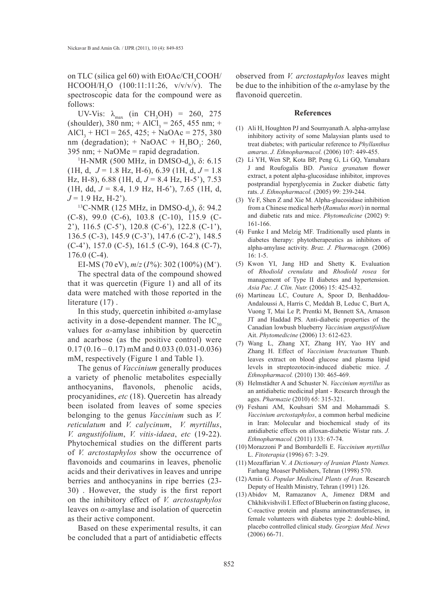on TLC (silica gel 60) with  $EtOAc/CH_{3}COOH/$  $HCOOH/H_2O$  (100:11:11:26,  $v/v/v/v$ ). The spectroscopic data for the compound were as follows:

UV-Vis:  $\lambda_{\text{max}}$  (in CH<sub>3</sub>OH) = 260, 275 (shoulder), 380 nm;  $+$  AlCl<sub>3</sub> = 265, 455 nm;  $+$  $AICI<sub>3</sub> + HCl = 265, 425; + NaOAc = 275, 380$ nm (degradation); + NaOAC +  $H_3BO_3$ : 260,  $395 \text{ nm}$ ; + NaOMe = rapid degradation.

<sup>1</sup>H-NMR (500 MHz, in DMSO-d<sub>6</sub>), δ: 6.15  $(1H, d, J = 1.8 Hz, H-6), 6.39 (1H, d, J = 1.8)$ Hz, H-8), 6.88 (1H, d, *J* = 8.4 Hz, H-5'), 7.53 (1H, dd, *J* = 8.4, 1.9 Hz, H-6'), 7.65 (1H, d,  $J = 1.9$  Hz, H-2<sup>2</sup>).

<sup>13</sup>C-NMR (125 MHz, in DMSO-d<sub>6</sub>), δ: 94.2 (C-8), 99.0 (C-6), 103.8 (C-10), 115.9 (C-2'), 116.5 (C-5'), 120.8 (C-6'), 122.8 (C-1'), 136.5 (C-3), 145.9 (C-3'), 147.6 (C-2'), 148.5 (C-4'), 157.0 (C-5), 161.5 (C-9), 164.8 (C-7), 176.0 (C-4).

EI-MS (70 eV), *m*/*z* (*I*%): 302 (100%) (M+).

The spectral data of the compound showed that it was quercetin (Figure 1) and all of its data were matched with those reported in the literature  $(17)$ .

In this study, quercetin inhibited *α*-amylase activity in a dose-dependent manner. The  $IC_{50}$ values for *α*-amylase inhibition by quercetin and acarbose (as the positive control) were  $0.17$  (0.16 – 0.17) mM and 0.033 (0.031-0.036) mM, respectively (Figure 1 and Table 1).

The genus of *Vaccinium* generally produces a variety of phenolic metabolites especially anthocyanins, flavonols, phenolic acids, procyanidines, *etc* (18). Quercetin has already been isolated from leaves of some species belonging to the genus *Vaccinium* such as *V. reticulatum* and *V. calycinum*, *V. myrtillus*, *V. angustifolium*, *V. vitis-idaea*, *etc* (19-22). Phytochemical studies on the different parts of *V. arctostaphylos* show the occurrence of flavonoids and coumarins in leaves, phenolic acids and their derivatives in leaves and unripe berries and anthocyanins in ripe berries (23- 30) . However, the study is the first report on the inhibitory effect of *V. arctostaphylos* leaves on *α*-amylase and isolation of quercetin as their active component.

Based on these experimental results, it can be concluded that a part of antidiabetic effects

observed from *V. arctostaphylos* leaves might be due to the inhibition of the *α*-amylase by the flavonoid quercetin.

#### **References**

- Ali H, Houghton PJ and Soumyanath A. alpha-amylase (1) inhibitory activity of some Malaysian plants used to treat diabetes; with particular reference to *Phyllanthus amarus*. *J. Ethnopharmacol.* (2006) 107: 449-455.
- Li YH, Wen SP, Kota BP, Peng G, Li GQ, Yamahara (2) J and Roufogalis BD. *Punica granatum* flower extract, a potent alpha-glucosidase inhibitor, improves postprandial hyperglycemia in Zucker diabetic fatty rats. *J. Ethnopharmacol.* (2005) 99: 239-244.
- $(3)$  Ye F, Shen Z and Xie M. Alpha-glucosidase inhibition from a Chinese medical herb (*Ramulus mori*) in normal and diabetic rats and mice. *Phytomedicine* (2002) 9: 161-166.
- Funke I and Melzig MF. Traditionally used plants in (4) diabetes therapy: phytotherapeutics as inhibitors of alpha-amylase activity. *Braz. J. Pharmacogn.* (2006) 16: 1-5.
- (5) Kwon YI, Jang HD and Shetty K. Evaluation of *Rhodiold crenulata* and *Rhodiold rosea* for management of Type II diabetes and hypertension. *Asia Pac. J. Clin. Nutr.* (2006) 15: 425-432.
- Martineau LC, Couture A, Spoor D, Benhaddou-(6) Andaloussi A, Harris C, Meddah B, Leduc C, Burt A, Vuong T, Mai Le P, Prentki M, Bennett SA, Arnason JT and Haddad PS. Anti-diabetic properties of the Canadian lowbush blueberry *Vaccinium angustifolium* Ait. *Phytomedicine* (2006) 13: 612-623.
- Wang L, Zhang XT, Zhang HY, Yao HY and (7) Zhang H. Effect of *Vaccinium bracteatum* Thunb. leaves extract on blood glucose and plasma lipid levels in streptozotocin-induced diabetic mice. *J. Ethnopharmacol.* (2010) 130: 465-469.
- Helmstädter A and Schuster N. *Vaccinium myrtillus* as (8) an antidiabetic medicinal plant - Research through the ages. *Pharmazie* (2010) 65: 315-321.
- Feshani AM, Kouhsari SM and Mohammadi S. (9) *Vaccinium arctostaphylos*, a common herbal medicine in Iran: Molecular and biochemical study of its antidiabetic effects on alloxan-diabetic Wistar rats. *J. Ethnopharmacol.* (2011) 133: 67-74.
- Morazzoni P and Bombardelli E. *Vaccinium myrtillus* (10) L. *Fitoterapia* (1996) 67: 3-29.
- (11) Mozaffarian V. A Dictionary of Iranian Plants Names. Farhang Moaser Publishers, Tehran (1998) 570.
- Amin G. *Popular Medicinal Plants of Iran.* Research (12) Deputy of Health Ministry, Tehran (1991) 126.
- (13) Abidov M, Ramazanov A, Jimenez DRM and Chkhikvishvili I. Effect of Blueberin on fasting glucose, C-reactive protein and plasma aminotransferases, in female volunteers with diabetes type 2: double-blind, placebo controlled clinical study. *Georgian Med. News* (2006) 66-71.